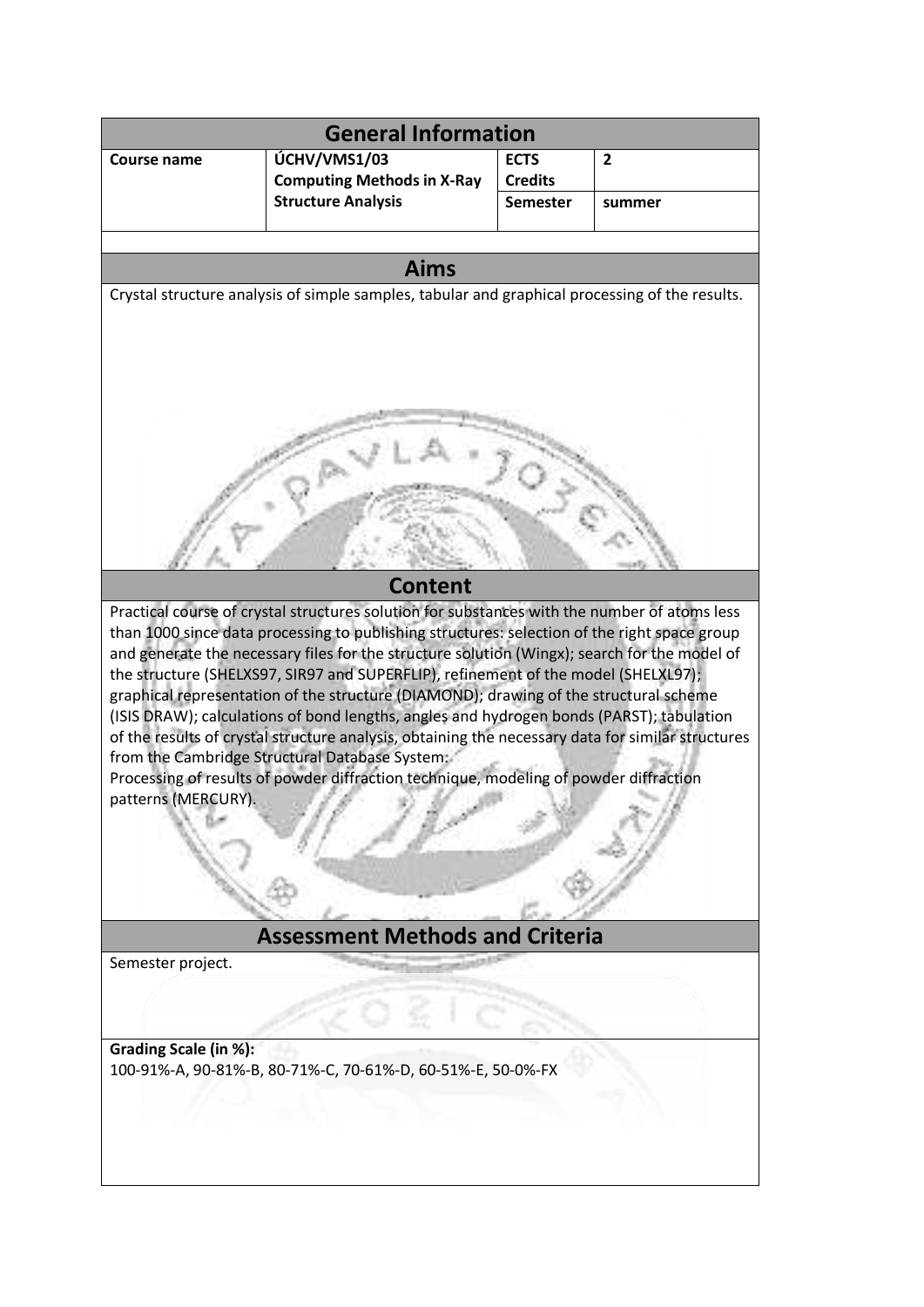